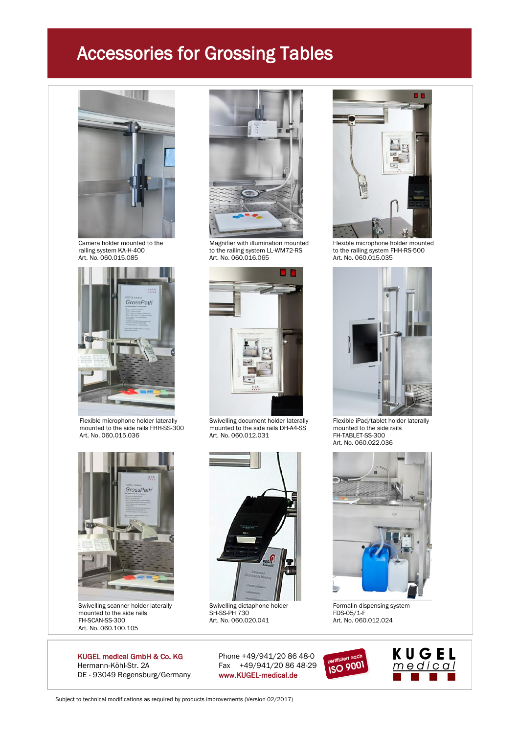



Flexible microphone holder laterally Swivelling document holder laterally Flexible iPad/tablet holder laterally<br>mounted to the side rails FHH-SS-300 mounted to the side rails DH-A4-SS mounted to the side rails mounted to the side rails FHH-SS-300 mounted to the side rails DH-A4-SS mounted to the side rat. No. 060.012.031 FH-TABLET-SS-300



Swivelling scanner holder laterally Swivelling dictaphone holder Formalin-dispensing system<br>mounted to the side rails SH-SS-PH 730 FDS-05/1-F mounted to the side rails  $SH-SS-PH 730$  FDS-05/1-F<br>FH-SCAN-SS-300 Art. No. 060.020.041 Art. No. 060.012.024 FH-SCAN-SS-300<br>Art. No. 060.100.105

Hermann-Köhl-Str. 2A Fax +49/941/20 86 48-29 DE - 93049 Regensburg/Germany www.KUGEL-medical.de



railing system KA-H-400 to the railing system LL-WM72-RS to the railing system FHH-RS-500 Art. No. 060.015.085 Art. No. 060.016.065 Art. No. 060.015.035



Art. No. 060.012.031



Art. No. 060.020.041





Camera holder mounted to the Magnifier with illumination mounted Flexible microphone holder mounted<br>
railing system KA-H-400 to the railing system LL-WM72-RS to the railing system FHH-RS-500<br>
Art. No. 060.015.085 Art. No.



Art. No. 060.022.036





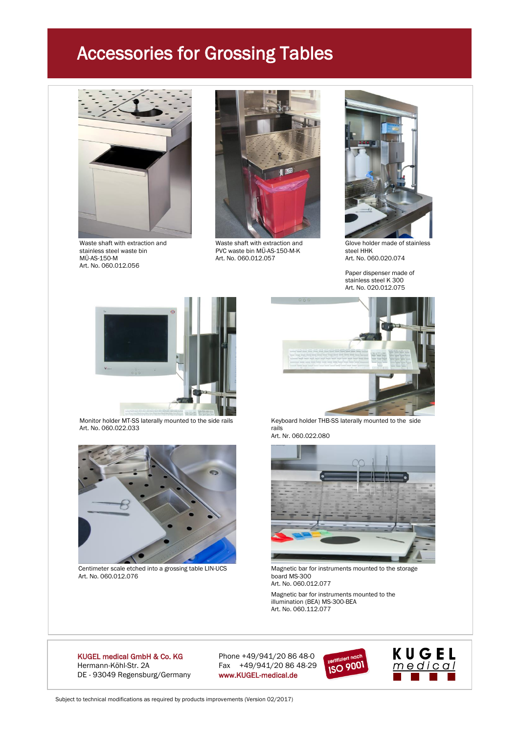

Waste shaft with extraction and **Waste Shaft with extraction and** Glove holder made of stainless stainless steel waste bin PVC waste bin MÜ-AS-150-M-K steel HHK stainless steel waste bin and the CC waste bin MÜ-AS-150-M-K basic and the steel HHK<br>MÜ-AS-150-M Art. No. 060.012.057 Art. No. 060.020.074 Art. No. 060.012.056





Paper dispenser made of stainless steel K 300 Art. No. 020.012.075



Art. No. 060.022.033



Art. No. 060.012.076 **board MS-300** 



Monitor holder MT-SS laterally mounted to the side rails Keyboard holder THB-SS laterally mounted to the side<br>Art. No. 060.022.033 Art. Nr. 060.022.080



Centimeter scale etched into a grossing table LIN-UCS Magnetic bar for instruments mounted to the storage Art. No. 060.012.077

Magnetic bar for instruments mounted to the illumination (BEA) MS-300-BEA Art. No. 060.112.077

#### KUGEL medical GmbH & Co. KG Phone +49/941/20 86 48-0 Hermann-Köhl-Str. 2A Fax +49/941/20 86 48-29 DE - 93049 Regensburg/Germany www.KUGEL-medical.de



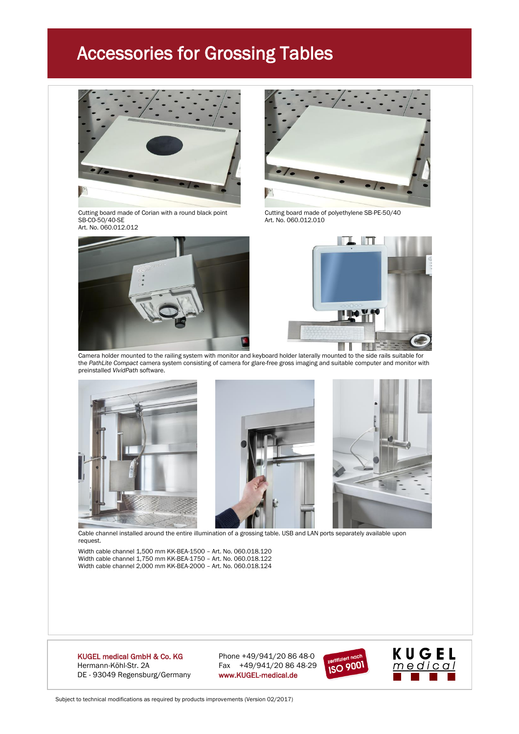

Cutting board made of Corian with a round black point Cutting board made of polyethylene SB-PE-50/40<br>SB-CO-50/40-SE<br>Art. No. 060.012.010 Art. No. 060.012.012





Art. No. 060.012.010



Camera holder mounted to the railing system with monitor and keyboard holder laterally mounted to the side rails suitable for the *PathLite Compact* camera system consisting of camera for glare-free gross imaging and suitable computer and monitor with preinstalled *VividPath* software.







Cable channel installed around the entire illumination of a grossing table. USB and LAN ports separately available upon request.

Width cable channel 1,500 mm KK-BEA-1500 – Art. No. 060.018.120 Width cable channel 1,750 mm KK-BEA-1750 – Art. No. 060.018.122 Width cable channel 2,000 mm KK-BEA-2000 – Art. No. 060.018.124

Hermann-Köhl-Str. 2A Fax +49/941/20 86 48-29 DE - 93049 Regensburg/Germany www.KUGEL-medical.de

KUGEL medical GmbH & Co. KG Phone +49/941/20 86 48-0